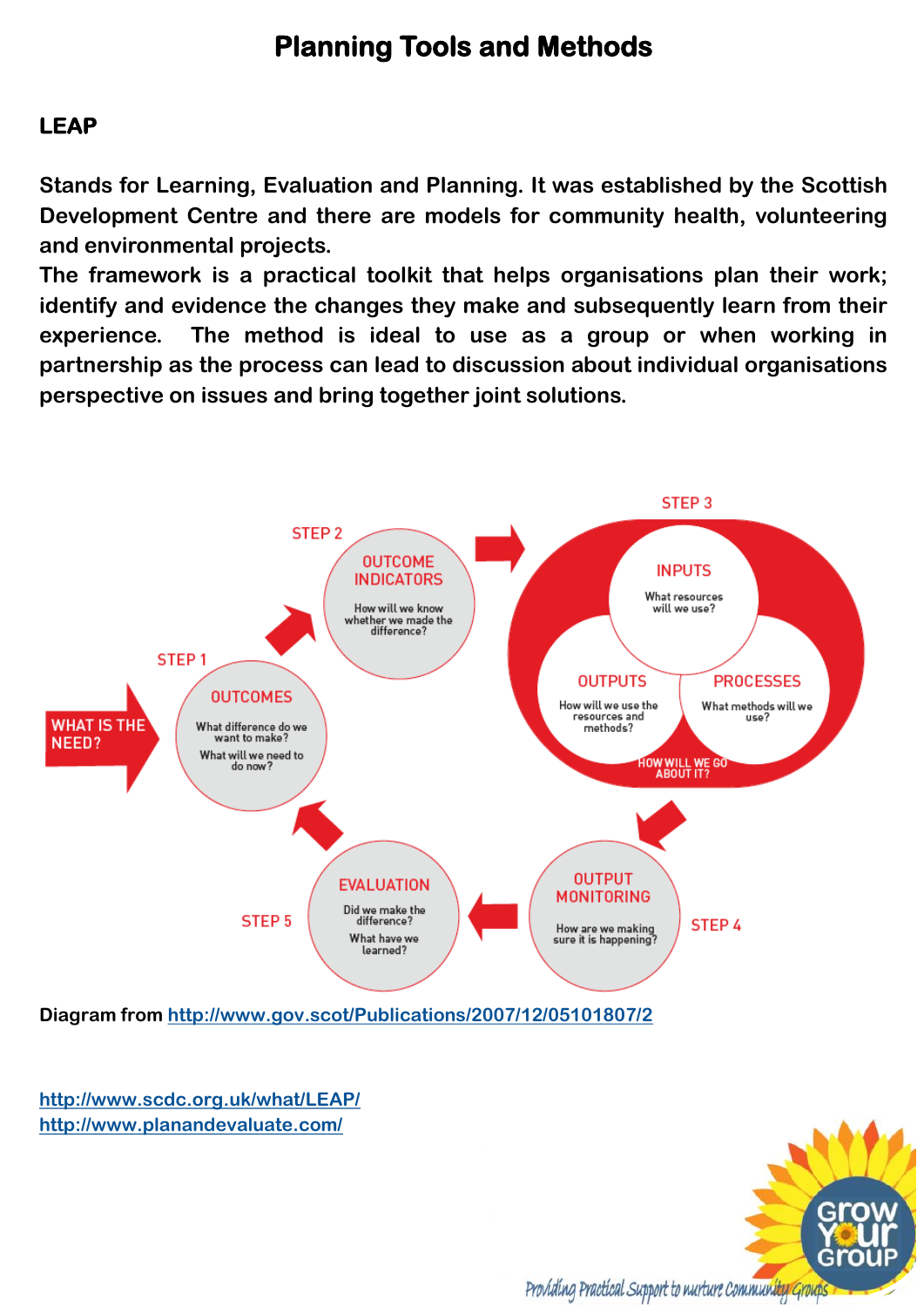# **Planning Tools and Methods**

#### **LEAP**

**Stands for Learning, Evaluation and Planning. It was established by the Scottish Development Centre and there are models for community health, volunteering and environmental projects.** 

**The framework is a practical toolkit that helps organisations plan their work; identify and evidence the changes they make and subsequently learn from their experience. The method is ideal to use as a group or when working in partnership as the process can lead to discussion about individual organisations perspective on issues and bring together joint solutions.** 



**Diagram from<http://www.gov.scot/Publications/2007/12/05101807/2>**

**<http://www.scdc.org.uk/what/LEAP/> <http://www.planandevaluate.com/>**

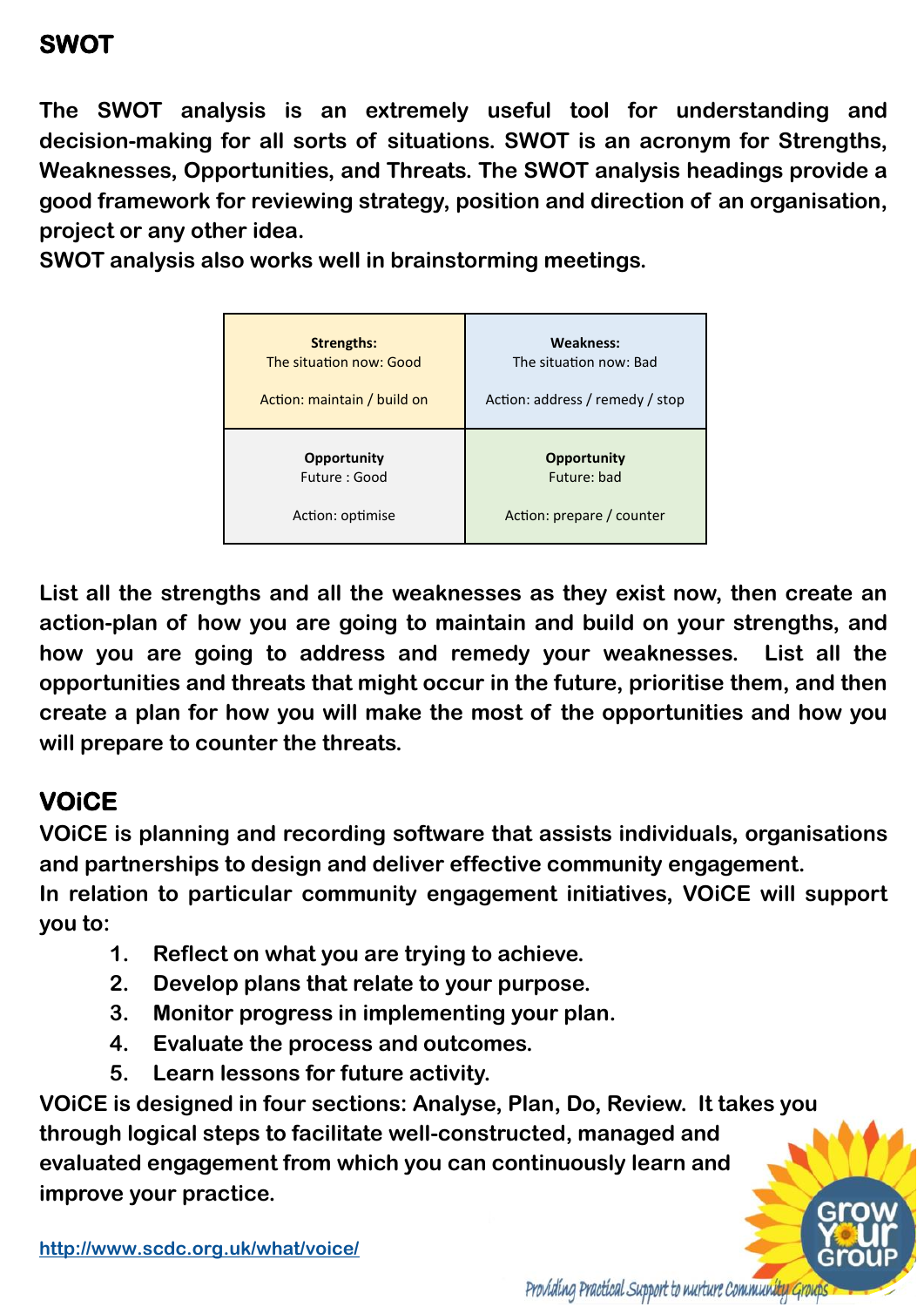**The SWOT analysis is an extremely useful tool for understanding and decision-making for all sorts of situations. SWOT is an acronym for Strengths, Weaknesses, Opportunities, and Threats. The SWOT analysis headings provide a good framework for reviewing strategy, position and direction of an organisation, project or any other idea.** 

**SWOT analysis also works well in brainstorming meetings.**

| <b>Strengths:</b>           | <b>Weakness:</b>                |
|-----------------------------|---------------------------------|
| The situation now: Good     | The situation now: Bad          |
| Action: maintain / build on | Action: address / remedy / stop |
| Opportunity                 | <b>Opportunity</b>              |
| Future : Good               | Future: bad                     |
| Action: optimise            | Action: prepare / counter       |

**List all the strengths and all the weaknesses as they exist now, then create an action-plan of how you are going to maintain and build on your strengths, and how you are going to address and remedy your weaknesses. List all the opportunities and threats that might occur in the future, prioritise them, and then create a plan for how you will make the most of the opportunities and how you will prepare to counter the threats.** 

# **VOiCE**

**VOiCE is planning and recording software that assists individuals, organisations and partnerships to design and deliver effective community engagement.** 

**In relation to particular community engagement initiatives, VOiCE will support you to:**

- **1. Reflect on what you are trying to achieve.**
- **2. Develop plans that relate to your purpose.**
- **3. Monitor progress in implementing your plan.**
- **4. Evaluate the process and outcomes.**
- **5. Learn lessons for future activity.**

**VOiCE is designed in four sections: Analyse, Plan, Do, Review. It takes you through logical steps to facilitate well-constructed, managed and evaluated engagement from which you can continuously learn and improve your practice.**

**<http://www.scdc.org.uk/what/voice/>**

Providing Practical Support to nurture Community Group.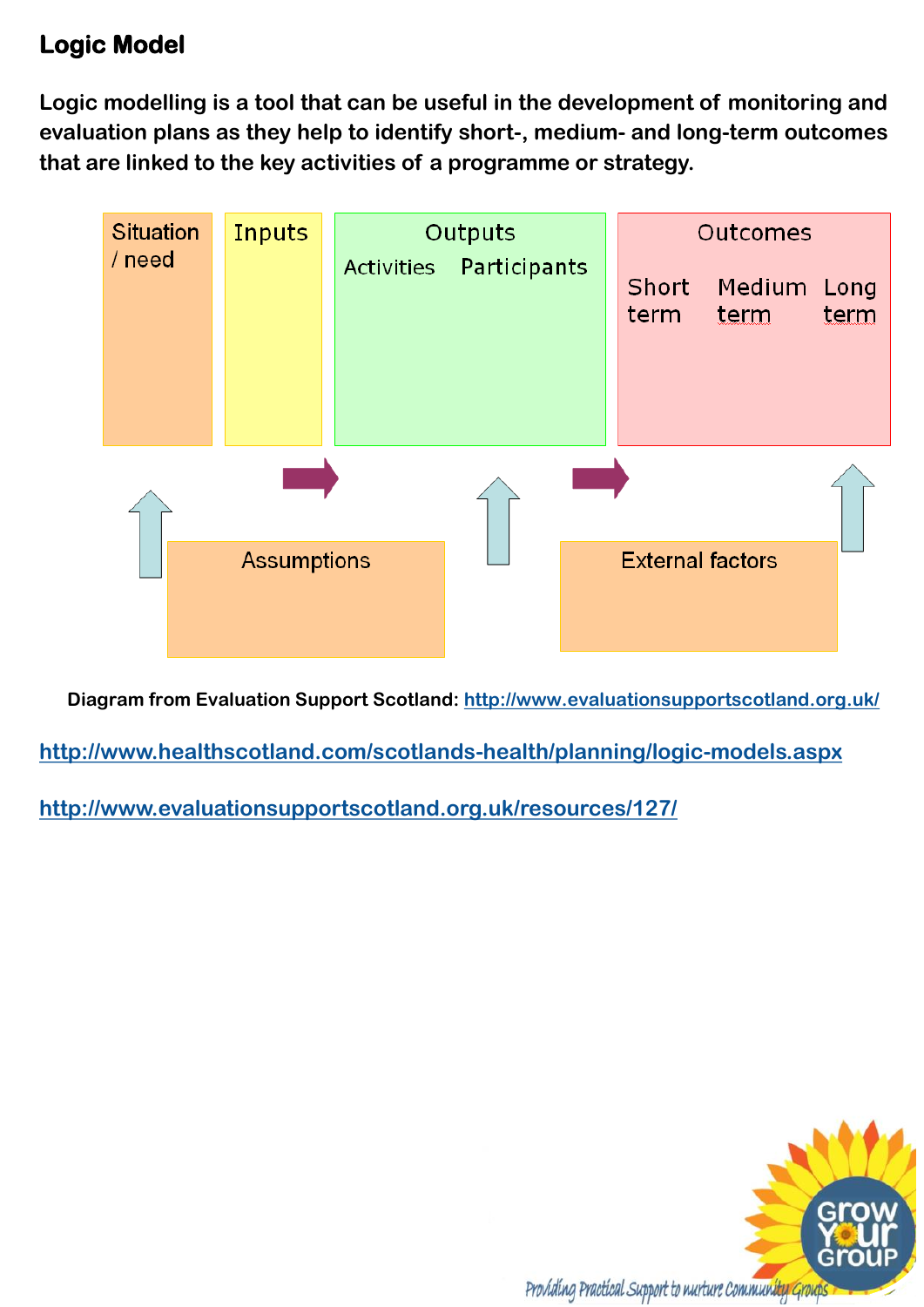## **Logic Model**

**Logic modelling is a tool that can be useful in the development of monitoring and evaluation plans as they help to identify short-, medium- and long-term outcomes that are linked to the key activities of a programme or strategy.**



**Diagram from Evaluation Support Scotland: <http://www.evaluationsupportscotland.org.uk/>**

**<http://www.healthscotland.com/scotlands-health/planning/logic-models.aspx>**

**<http://www.evaluationsupportscotland.org.uk/resources/127/>**